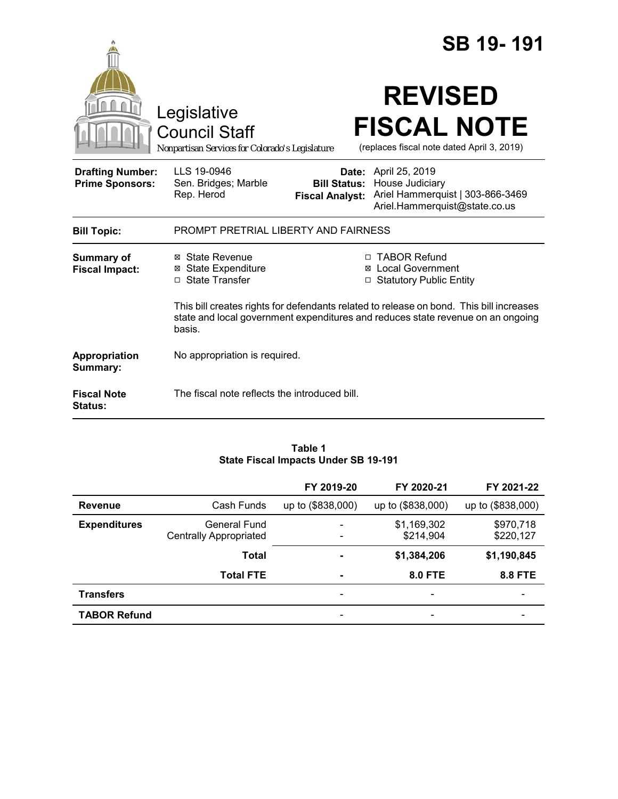|                                                   |                                                                                                                                                                                      |                                                        | SB 19-191                                                                                              |  |
|---------------------------------------------------|--------------------------------------------------------------------------------------------------------------------------------------------------------------------------------------|--------------------------------------------------------|--------------------------------------------------------------------------------------------------------|--|
|                                                   | Legislative<br><b>Council Staff</b><br>Nonpartisan Services for Colorado's Legislature                                                                                               |                                                        | <b>REVISED</b><br><b>FISCAL NOTE</b><br>(replaces fiscal note dated April 3, 2019)                     |  |
| <b>Drafting Number:</b><br><b>Prime Sponsors:</b> | LLS 19-0946<br>Sen. Bridges; Marble<br>Rep. Herod                                                                                                                                    | Date:<br><b>Bill Status:</b><br><b>Fiscal Analyst:</b> | April 25, 2019<br>House Judiciary<br>Ariel Hammerquist   303-866-3469<br>Ariel.Hammerquist@state.co.us |  |
| <b>Bill Topic:</b>                                | PROMPT PRETRIAL LIBERTY AND FAIRNESS                                                                                                                                                 |                                                        |                                                                                                        |  |
| <b>Summary of</b><br><b>Fiscal Impact:</b>        | ⊠ State Revenue<br><b>⊠</b> State Expenditure<br>□ State Transfer                                                                                                                    | ⊠<br>□                                                 | □ TABOR Refund<br><b>Local Government</b><br><b>Statutory Public Entity</b>                            |  |
|                                                   | This bill creates rights for defendants related to release on bond. This bill increases<br>state and local government expenditures and reduces state revenue on an ongoing<br>basis. |                                                        |                                                                                                        |  |
| Appropriation<br>Summary:                         | No appropriation is required.                                                                                                                                                        |                                                        |                                                                                                        |  |
| <b>Fiscal Note</b><br>Status:                     | The fiscal note reflects the introduced bill.                                                                                                                                        |                                                        |                                                                                                        |  |

### **Table 1 State Fiscal Impacts Under SB 19-191**

|                     |                                               | FY 2019-20                    | FY 2020-21               | FY 2021-22               |
|---------------------|-----------------------------------------------|-------------------------------|--------------------------|--------------------------|
| <b>Revenue</b>      | Cash Funds                                    | up to (\$838,000)             | up to (\$838,000)        | up to (\$838,000)        |
| <b>Expenditures</b> | General Fund<br><b>Centrally Appropriated</b> | ٠<br>$\overline{\phantom{a}}$ | \$1,169,302<br>\$214,904 | \$970,718<br>\$220,127   |
|                     | <b>Total</b>                                  | $\overline{\phantom{a}}$      | \$1,384,206              | \$1,190,845              |
|                     | <b>Total FTE</b>                              | $\blacksquare$                | <b>8.0 FTE</b>           | <b>8.8 FTE</b>           |
| <b>Transfers</b>    |                                               | $\overline{\phantom{a}}$      | $\overline{\phantom{0}}$ | $\overline{\phantom{0}}$ |
| <b>TABOR Refund</b> |                                               | -                             |                          |                          |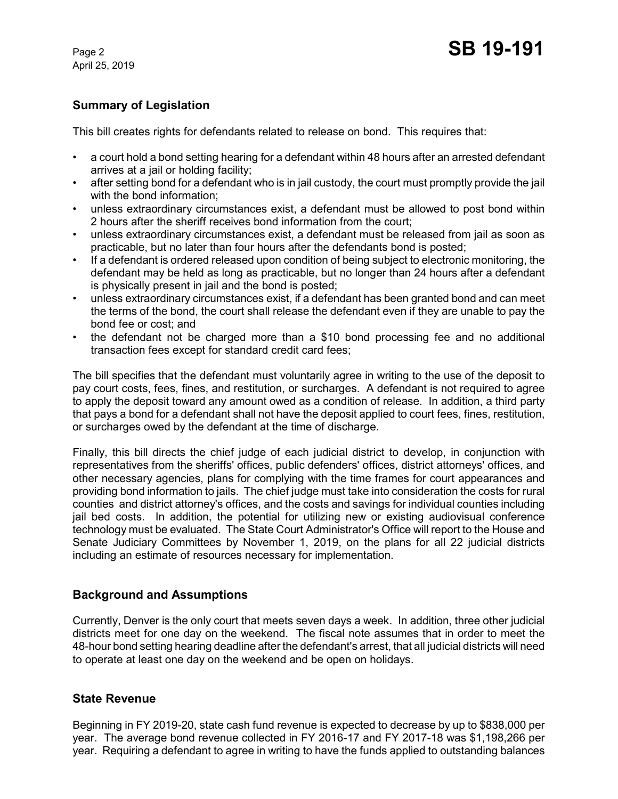# **Summary of Legislation**

This bill creates rights for defendants related to release on bond. This requires that:

- a court hold a bond setting hearing for a defendant within 48 hours after an arrested defendant arrives at a jail or holding facility;
- after setting bond for a defendant who is in jail custody, the court must promptly provide the jail with the bond information;
- unless extraordinary circumstances exist, a defendant must be allowed to post bond within 2 hours after the sheriff receives bond information from the court;
- unless extraordinary circumstances exist, a defendant must be released from jail as soon as practicable, but no later than four hours after the defendants bond is posted;
- If a defendant is ordered released upon condition of being subject to electronic monitoring, the defendant may be held as long as practicable, but no longer than 24 hours after a defendant is physically present in jail and the bond is posted;
- unless extraordinary circumstances exist, if a defendant has been granted bond and can meet the terms of the bond, the court shall release the defendant even if they are unable to pay the bond fee or cost; and
- the defendant not be charged more than a \$10 bond processing fee and no additional transaction fees except for standard credit card fees;

The bill specifies that the defendant must voluntarily agree in writing to the use of the deposit to pay court costs, fees, fines, and restitution, or surcharges. A defendant is not required to agree to apply the deposit toward any amount owed as a condition of release. In addition, a third party that pays a bond for a defendant shall not have the deposit applied to court fees, fines, restitution, or surcharges owed by the defendant at the time of discharge.

Finally, this bill directs the chief judge of each judicial district to develop, in conjunction with representatives from the sheriffs' offices, public defenders' offices, district attorneys' offices, and other necessary agencies, plans for complying with the time frames for court appearances and providing bond information to jails. The chief judge must take into consideration the costs for rural counties and district attorney's offices, and the costs and savings for individual counties including jail bed costs. In addition, the potential for utilizing new or existing audiovisual conference technology must be evaluated. The State Court Administrator's Office will report to the House and Senate Judiciary Committees by November 1, 2019, on the plans for all 22 judicial districts including an estimate of resources necessary for implementation.

# **Background and Assumptions**

Currently, Denver is the only court that meets seven days a week. In addition, three other judicial districts meet for one day on the weekend. The fiscal note assumes that in order to meet the 48-hour bond setting hearing deadline after the defendant's arrest, that all judicial districts will need to operate at least one day on the weekend and be open on holidays.

# **State Revenue**

Beginning in FY 2019-20, state cash fund revenue is expected to decrease by up to \$838,000 per year. The average bond revenue collected in FY 2016-17 and FY 2017-18 was \$1,198,266 per year. Requiring a defendant to agree in writing to have the funds applied to outstanding balances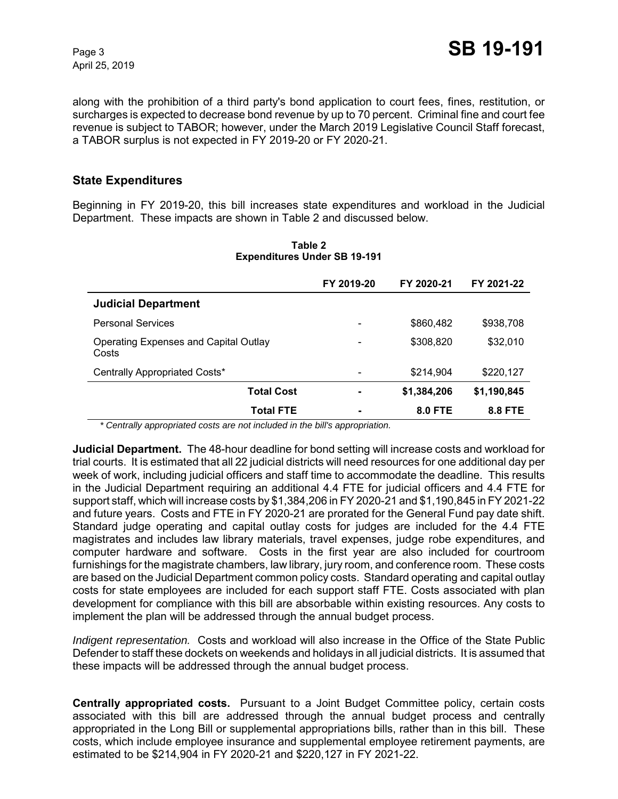along with the prohibition of a third party's bond application to court fees, fines, restitution, or surcharges is expected to decrease bond revenue by up to 70 percent. Criminal fine and court fee revenue is subject to TABOR; however, under the March 2019 Legislative Council Staff forecast, a TABOR surplus is not expected in FY 2019-20 or FY 2020-21.

## **State Expenditures**

Beginning in FY 2019-20, this bill increases state expenditures and workload in the Judicial Department. These impacts are shown in Table 2 and discussed below.

|                                                       | FY 2019-20 | FY 2020-21     | FY 2021-22  |
|-------------------------------------------------------|------------|----------------|-------------|
| <b>Judicial Department</b>                            |            |                |             |
| <b>Personal Services</b>                              |            | \$860,482      | \$938,708   |
| <b>Operating Expenses and Capital Outlay</b><br>Costs |            | \$308,820      | \$32,010    |
| Centrally Appropriated Costs*                         |            | \$214,904      | \$220,127   |
| <b>Total Cost</b>                                     |            | \$1,384,206    | \$1,190,845 |
| Total FTE                                             |            | <b>8.0 FTE</b> | 8.8 FTE     |

#### **Table 2 Expenditures Under SB 19-191**

 *\* Centrally appropriated costs are not included in the bill's appropriation.*

**Judicial Department.** The 48-hour deadline for bond setting will increase costs and workload for trial courts. It is estimated that all 22 judicial districts will need resources for one additional day per week of work, including judicial officers and staff time to accommodate the deadline. This results in the Judicial Department requiring an additional 4.4 FTE for judicial officers and 4.4 FTE for support staff, which will increase costs by \$1,384,206 in FY 2020-21 and \$1,190,845 in FY 2021-22 and future years. Costs and FTE in FY 2020-21 are prorated for the General Fund pay date shift. Standard judge operating and capital outlay costs for judges are included for the 4.4 FTE magistrates and includes law library materials, travel expenses, judge robe expenditures, and computer hardware and software. Costs in the first year are also included for courtroom furnishings for the magistrate chambers, law library, jury room, and conference room. These costs are based on the Judicial Department common policy costs. Standard operating and capital outlay costs for state employees are included for each support staff FTE. Costs associated with plan development for compliance with this bill are absorbable within existing resources. Any costs to implement the plan will be addressed through the annual budget process.

*Indigent representation.* Costs and workload will also increase in the Office of the State Public Defender to staff these dockets on weekends and holidays in all judicial districts. It is assumed that these impacts will be addressed through the annual budget process.

**Centrally appropriated costs.** Pursuant to a Joint Budget Committee policy, certain costs associated with this bill are addressed through the annual budget process and centrally appropriated in the Long Bill or supplemental appropriations bills, rather than in this bill. These costs, which include employee insurance and supplemental employee retirement payments, are estimated to be \$214,904 in FY 2020-21 and \$220,127 in FY 2021-22.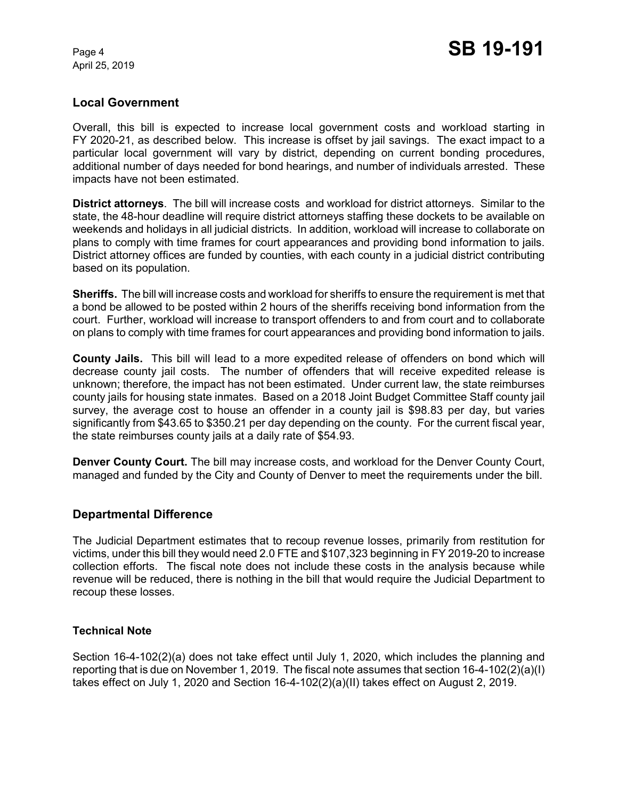## **Local Government**

Overall, this bill is expected to increase local government costs and workload starting in FY 2020-21, as described below. This increase is offset by jail savings. The exact impact to a particular local government will vary by district, depending on current bonding procedures, additional number of days needed for bond hearings, and number of individuals arrested. These impacts have not been estimated.

**District attorneys**. The bill will increase costs and workload for district attorneys. Similar to the state, the 48-hour deadline will require district attorneys staffing these dockets to be available on weekends and holidays in all judicial districts. In addition, workload will increase to collaborate on plans to comply with time frames for court appearances and providing bond information to jails. District attorney offices are funded by counties, with each county in a judicial district contributing based on its population.

**Sheriffs.** The bill will increase costs and workload for sheriffs to ensure the requirement is met that a bond be allowed to be posted within 2 hours of the sheriffs receiving bond information from the court. Further, workload will increase to transport offenders to and from court and to collaborate on plans to comply with time frames for court appearances and providing bond information to jails.

**County Jails.** This bill will lead to a more expedited release of offenders on bond which will decrease county jail costs. The number of offenders that will receive expedited release is unknown; therefore, the impact has not been estimated. Under current law, the state reimburses county jails for housing state inmates. Based on a 2018 Joint Budget Committee Staff county jail survey, the average cost to house an offender in a county jail is \$98.83 per day, but varies significantly from \$43.65 to \$350.21 per day depending on the county. For the current fiscal year, the state reimburses county jails at a daily rate of \$54.93.

**Denver County Court.** The bill may increase costs, and workload for the Denver County Court, managed and funded by the City and County of Denver to meet the requirements under the bill.

## **Departmental Difference**

The Judicial Department estimates that to recoup revenue losses, primarily from restitution for victims, under this bill they would need 2.0 FTE and \$107,323 beginning in FY 2019-20 to increase collection efforts. The fiscal note does not include these costs in the analysis because while revenue will be reduced, there is nothing in the bill that would require the Judicial Department to recoup these losses.

## **Technical Note**

Section 16-4-102(2)(a) does not take effect until July 1, 2020, which includes the planning and reporting that is due on November 1, 2019. The fiscal note assumes that section 16-4-102(2)(a)(I) takes effect on July 1, 2020 and Section 16-4-102(2)(a)(II) takes effect on August 2, 2019.